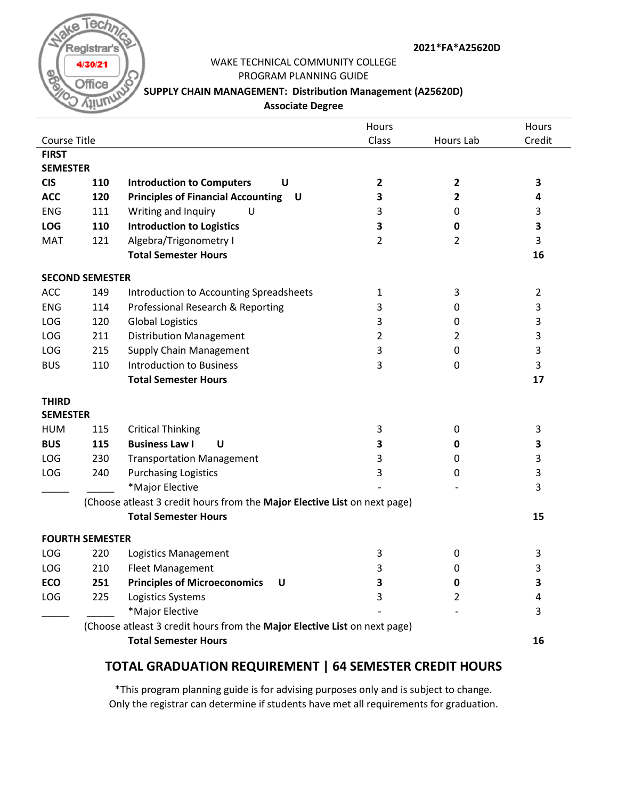

#### **2021\*FA\*A25620D**

# WAKE TECHNICAL COMMUNITY COLLEGE

PROGRAM PLANNING GUIDE

### **SUPPLY CHAIN MANAGEMENT: Distribution Management (A25620D)**

**Associate Degree**

|                                                                           |                             |                                                                           | Hours |                | Hours          |  |  |  |  |
|---------------------------------------------------------------------------|-----------------------------|---------------------------------------------------------------------------|-------|----------------|----------------|--|--|--|--|
| Course Title                                                              |                             |                                                                           | Class | Hours Lab      | Credit         |  |  |  |  |
| <b>FIRST</b>                                                              |                             |                                                                           |       |                |                |  |  |  |  |
| <b>SEMESTER</b>                                                           |                             |                                                                           |       |                |                |  |  |  |  |
| <b>CIS</b>                                                                | 110                         | <b>Introduction to Computers</b><br>U                                     | 2     | 2              | 3              |  |  |  |  |
| <b>ACC</b>                                                                | 120                         | <b>Principles of Financial Accounting U</b>                               | 3     | 2              | 4              |  |  |  |  |
| <b>ENG</b>                                                                | 111                         | Writing and Inquiry<br>U                                                  | 3     | 0              | 3              |  |  |  |  |
| <b>LOG</b>                                                                | 110                         | <b>Introduction to Logistics</b>                                          | 3     | 0              | 3              |  |  |  |  |
| <b>MAT</b>                                                                | 121                         | Algebra/Trigonometry I                                                    | 2     | $\overline{2}$ | 3              |  |  |  |  |
|                                                                           |                             | <b>Total Semester Hours</b>                                               |       |                | 16             |  |  |  |  |
| <b>SECOND SEMESTER</b>                                                    |                             |                                                                           |       |                |                |  |  |  |  |
| <b>ACC</b>                                                                | 149                         | Introduction to Accounting Spreadsheets                                   | 1     | 3              | $\overline{2}$ |  |  |  |  |
| <b>ENG</b>                                                                | 114                         | Professional Research & Reporting                                         | 3     | 0              | 3              |  |  |  |  |
| LOG                                                                       | 120                         | <b>Global Logistics</b>                                                   | 3     | 0              | 3              |  |  |  |  |
| LOG                                                                       | 211                         | <b>Distribution Management</b>                                            | 2     | 2              | 3              |  |  |  |  |
| LOG                                                                       | 215                         | <b>Supply Chain Management</b>                                            | 3     | 0              | 3              |  |  |  |  |
| <b>BUS</b>                                                                | 110                         | <b>Introduction to Business</b>                                           | 3     | 0              | 3              |  |  |  |  |
|                                                                           |                             | <b>Total Semester Hours</b>                                               |       |                | 17             |  |  |  |  |
| <b>THIRD</b>                                                              |                             |                                                                           |       |                |                |  |  |  |  |
| <b>SEMESTER</b>                                                           |                             |                                                                           |       |                |                |  |  |  |  |
| <b>HUM</b>                                                                | 115                         | <b>Critical Thinking</b>                                                  | 3     | 0              | 3              |  |  |  |  |
| <b>BUS</b>                                                                | 115                         | <b>Business Law I</b><br>U                                                | 3     | 0              | 3              |  |  |  |  |
| LOG                                                                       | 230                         | <b>Transportation Management</b>                                          | 3     | 0              | 3              |  |  |  |  |
| <b>LOG</b>                                                                | 240                         | <b>Purchasing Logistics</b>                                               | 3     | 0              | 3              |  |  |  |  |
|                                                                           |                             | *Major Elective                                                           |       |                | 3              |  |  |  |  |
| (Choose atleast 3 credit hours from the Major Elective List on next page) |                             |                                                                           |       |                |                |  |  |  |  |
|                                                                           |                             | <b>Total Semester Hours</b>                                               |       |                | 15             |  |  |  |  |
|                                                                           | <b>FOURTH SEMESTER</b>      |                                                                           |       |                |                |  |  |  |  |
| LOG                                                                       | 220                         | Logistics Management                                                      | 3     | 0              | 3              |  |  |  |  |
| LOG                                                                       | 210                         | <b>Fleet Management</b>                                                   | 3     | 0              | 3              |  |  |  |  |
| ECO                                                                       | 251                         | <b>Principles of Microeconomics</b><br>U                                  | 3     | 0              | 3              |  |  |  |  |
| LOG                                                                       | 225                         | Logistics Systems                                                         | 3     | 2              | 4              |  |  |  |  |
|                                                                           |                             | *Major Elective                                                           |       |                | 3              |  |  |  |  |
|                                                                           |                             | (Choose atleast 3 credit hours from the Major Elective List on next page) |       |                |                |  |  |  |  |
|                                                                           | <b>Total Semester Hours</b> |                                                                           |       |                |                |  |  |  |  |
|                                                                           |                             |                                                                           |       |                | 16             |  |  |  |  |

### **TOTAL GRADUATION REQUIREMENT | 64 SEMESTER CREDIT HOURS**

\*This program planning guide is for advising purposes only and is subject to change. Only the registrar can determine if students have met all requirements for graduation.